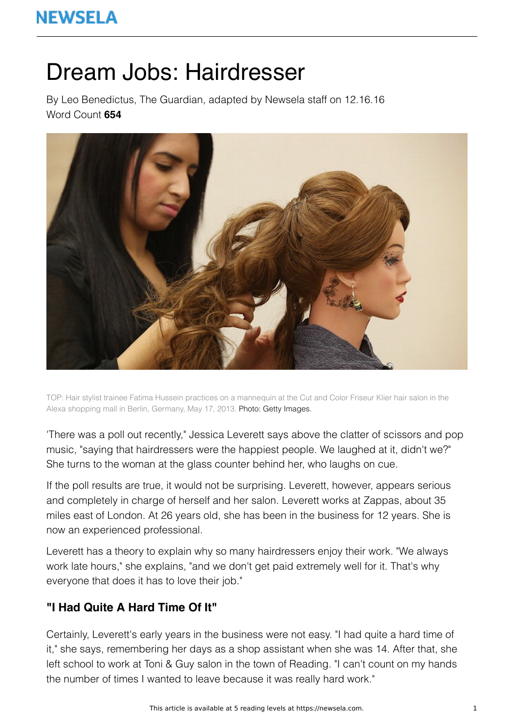# **NEWSELA**

# Dream Jobs: Hairdresser

By Leo Benedictus, The Guardian, adapted by Newsela staff on 12.16.16 Word Count **654**



TOP: Hair stylist trainee Fatima Hussein practices on a mannequin at the Cut and Color Friseur Klier hair salon in the Alexa shopping mall in Berlin, Germany, May 17, 2013. Photo: Getty Images.

'There was a poll out recently," Jessica Leverett says above the clatter of scissors and pop music, "saying that hairdressers were the happiest people. We laughed at it, didn't we?" She turns to the woman at the glass counter behind her, who laughs on cue.

If the poll results are true, it would not be surprising. Leverett, however, appears serious and completely in charge of herself and her salon. Leverett works at Zappas, about 35 miles east of London. At 26 years old, she has been in the business for 12 years. She is now an experienced professional.

Leverett has a theory to explain why so many hairdressers enjoy their work. "We always work late hours," she explains, "and we don't get paid extremely well for it. That's why everyone that does it has to love their job."

## **"I Had Quite A Hard Time Of It"**

Certainly, Leverett's early years in the business were not easy. "I had quite a hard time of it," she says, remembering her days as a shop assistant when she was 14. After that, she left school to work at Toni & Guy salon in the town of Reading. "I can't count on my hands the number of times I wanted to leave because it was really hard work."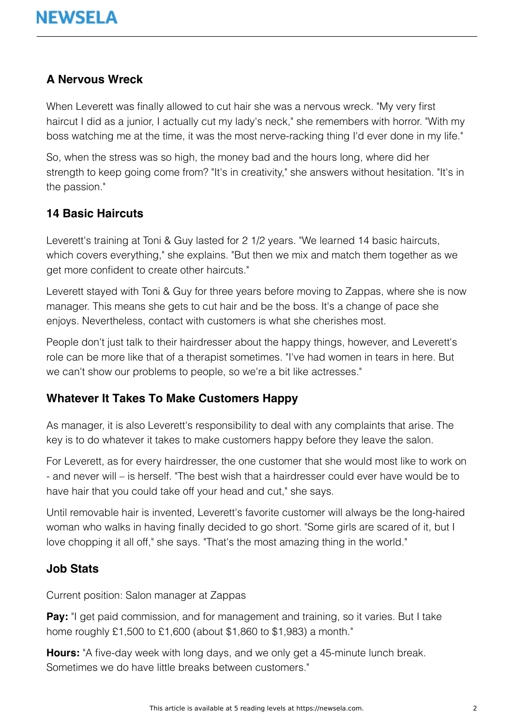### **A Nervous Wreck**

When Leverett was finally allowed to cut hair she was a nervous wreck. "My very first haircut I did as a junior, I actually cut my lady's neck," she remembers with horror. "With my boss watching me at the time, it was the most nerve-racking thing I'd ever done in my life."

So, when the stress was so high, the money bad and the hours long, where did her strength to keep going come from? "It's in creativity," she answers without hesitation. "It's in the passion."

#### **14 Basic Haircuts**

Leverett's training at Toni & Guy lasted for 2 1/2 years. "We learned 14 basic haircuts, which covers everything," she explains. "But then we mix and match them together as we get more confident to create other haircuts."

Leverett stayed with Toni & Guy for three years before moving to Zappas, where she is now manager. This means she gets to cut hair and be the boss. It's a change of pace she enjoys. Nevertheless, contact with customers is what she cherishes most.

People don't just talk to their hairdresser about the happy things, however, and Leverett's role can be more like that of a therapist sometimes. "I've had women in tears in here. But we can't show our problems to people, so we're a bit like actresses."

#### **Whatever It Takes To Make Customers Happy**

As manager, it is also Leverett's responsibility to deal with any complaints that arise. The key is to do whatever it takes to make customers happy before they leave the salon.

For Leverett, as for every hairdresser, the one customer that she would most like to work on - and never will – is herself. "The best wish that a hairdresser could ever have would be to have hair that you could take off your head and cut," she says.

Until removable hair is invented, Leverett's favorite customer will always be the long-haired woman who walks in having finally decided to go short. "Some girls are scared of it, but I love chopping it all off," she says. "That's the most amazing thing in the world."

#### **Job Stats**

Current position: Salon manager at Zappas

**Pay:** "I get paid commission, and for management and training, so it varies. But I take home roughly £1,500 to £1,600 (about \$1,860 to \$1,983) a month."

**Hours:** "A five-day week with long days, and we only get a 45-minute lunch break. Sometimes we do have little breaks between customers."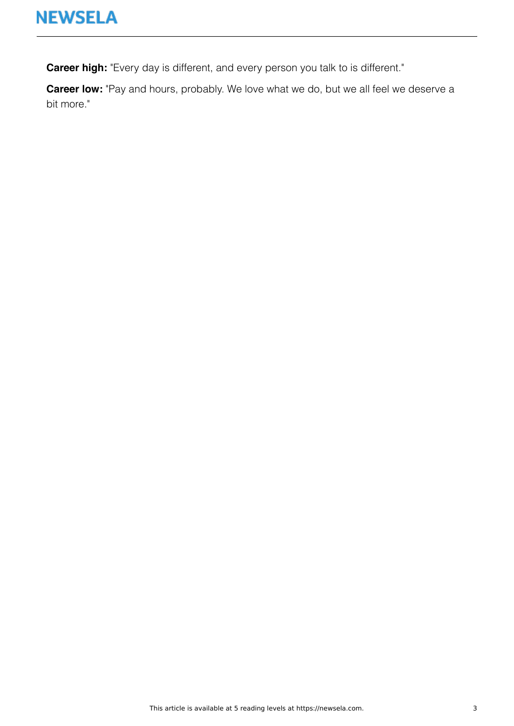**Career high:** "Every day is different, and every person you talk to is different."

**Career low:** "Pay and hours, probably. We love what we do, but we all feel we deserve a bit more."